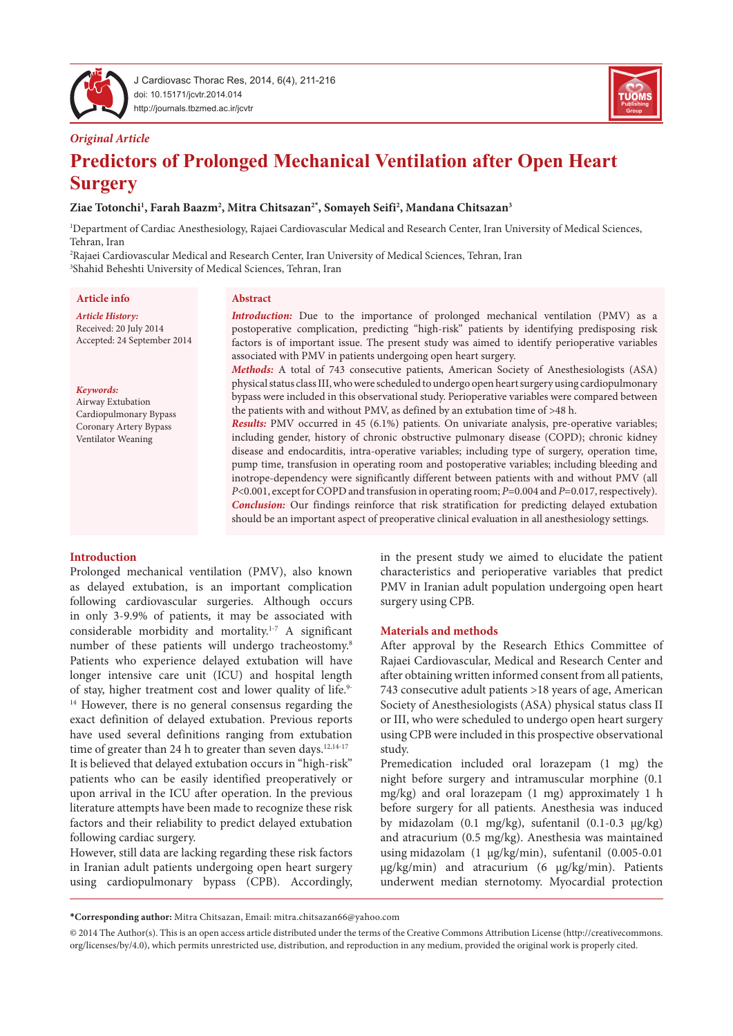

J Cardiovasc Thorac Res, 2014, 6(4), 211-216 doi: 10.15171/jcvtr.2014.014 http://journals.tbzmed.ac.ir/jcvtr



#### *Original Article*

# **Predictors of Prolonged Mechanical Ventilation after Open Heart Surgery**

#### **Ziae Totonchi1 , Farah Baazm2 , Mitra Chitsazan2\* , Somayeh Seifi2 , Mandana Chitsazan3**

1 Department of Cardiac Anesthesiology, Rajaei Cardiovascular Medical and Research Center, Iran University of Medical Sciences, Tehran, Iran

2 Rajaei Cardiovascular Medical and Research Center, Iran University of Medical Sciences, Tehran, Iran 3 Shahid Beheshti University of Medical Sciences, Tehran, Iran

#### **Article info**

*Article History:* Received: 20 July 2014 Accepted: 24 September 2014

#### *Keywords:*

Airway Extubation Cardiopulmonary Bypass Coronary Artery Bypass Ventilator Weaning

## **Abstract**

*Introduction:* Due to the importance of prolonged mechanical ventilation (PMV) as a postoperative complication, predicting "high-risk" patients by identifying predisposing risk factors is of important issue. The present study was aimed to identify perioperative variables associated with PMV in patients undergoing open heart surgery.

*Methods:* A total of 743 consecutive patients, American Society of Anesthesiologists (ASA) physical status class III, who were scheduled to undergo open heart surgery using cardiopulmonary bypass were included in this observational study. Perioperative variables were compared between the patients with and without PMV, as defined by an extubation time of >48 h.

*Results:* PMV occurred in 45 (6.1%) patients. On univariate analysis, pre-operative variables; including gender, history of chronic obstructive pulmonary disease (COPD); chronic kidney disease and endocarditis, intra-operative variables; including type of surgery, operation time, pump time, transfusion in operating room and postoperative variables; including bleeding and inotrope-dependency were significantly different between patients with and without PMV (all *P*<0.001, except for COPD and transfusion in operating room; *P*=0.004 and *P*=0.017, respectively). *Conclusion:* Our findings reinforce that risk stratification for predicting delayed extubation should be an important aspect of preoperative clinical evaluation in all anesthesiology settings.

#### **Introduction**

Prolonged mechanical ventilation (PMV), also known as delayed extubation, is an important complication following cardiovascular surgeries. Although occurs in only 3-9.9% of patients, it may be associated with considerable morbidity and mortality.1-7 A significant number of these patients will undergo tracheostomy.8 Patients who experience delayed extubation will have longer intensive care unit (ICU) and hospital length of stay, higher treatment cost and lower quality of life.9- <sup>14</sup> However, there is no general consensus regarding the exact definition of delayed extubation. Previous reports have used several definitions ranging from extubation time of greater than 24 h to greater than seven days.<sup>12,14-17</sup> It is believed that delayed extubation occurs in "high-risk" patients who can be easily identified preoperatively or upon arrival in the ICU after operation. In the previous literature attempts have been made to recognize these risk factors and their reliability to predict delayed extubation following cardiac surgery.

However, still data are lacking regarding these risk factors in Iranian adult patients undergoing open heart surgery using cardiopulmonary bypass (CPB). Accordingly,

in the present study we aimed to elucidate the patient characteristics and perioperative variables that predict PMV in Iranian adult population undergoing open heart surgery using CPB.

#### **Materials and methods**

After approval by the Research Ethics Committee of Rajaei Cardiovascular, Medical and Research Center and after obtaining written informed consent from all patients, 743 consecutive adult patients >18 years of age, American Society of Anesthesiologists (ASA) physical status class II or III, who were scheduled to undergo open heart surgery using CPB were included in this prospective observational study.

Premedication included oral lorazepam (1 mg) the night before surgery and intramuscular morphine (0.1 mg/kg) and oral lorazepam (1 mg) approximately 1 h before surgery for all patients. Anesthesia was induced by midazolam (0.1 mg/kg), sufentanil (0.1-0.3 µg/kg) and atracurium (0.5 mg/kg). Anesthesia was maintained using midazolam (1 µg/kg/min), sufentanil (0.005-0.01 µg/kg/min) and atracurium (6 µg/kg/min). Patients underwent median sternotomy. Myocardial protection

**\*Corresponding author:** Mitra Chitsazan, Email: mitra.chitsazan66@yahoo.com

<sup>© 2014</sup> The Author(s). This is an open access article distributed under the terms of the Creative Commons Attribution License (http://creativecommons. org/licenses/by/4.0), which permits unrestricted use, distribution, and reproduction in any medium, provided the original work is properly cited.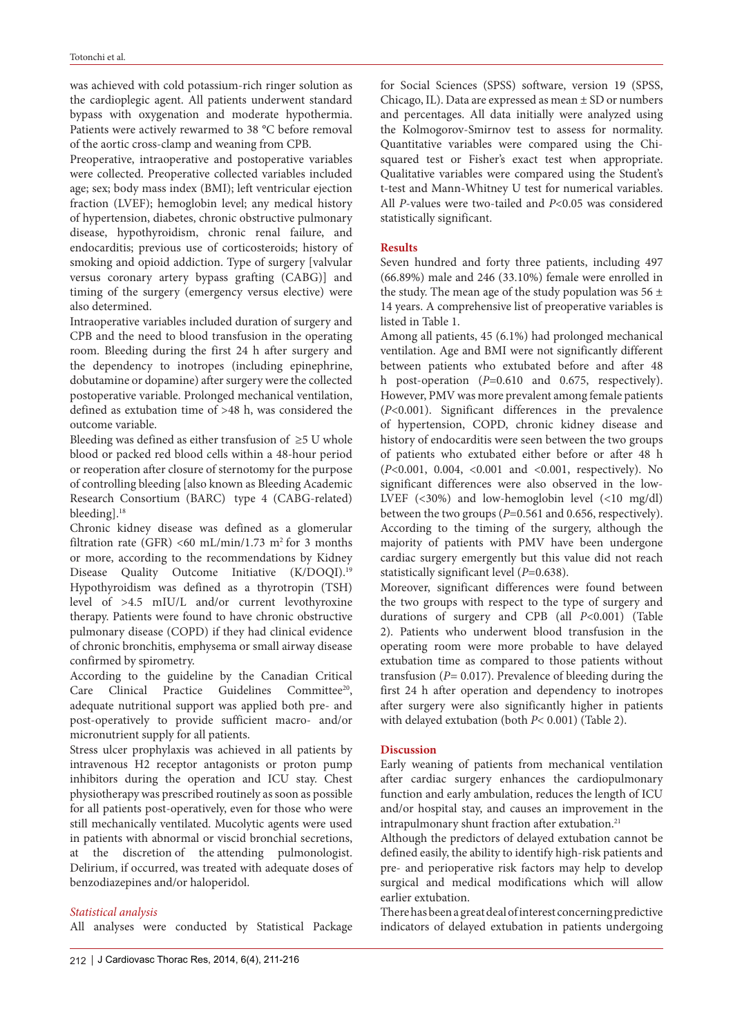was achieved with cold potassium-rich ringer solution as the cardioplegic agent. All patients underwent standard bypass with oxygenation and moderate hypothermia. Patients were actively rewarmed to 38 °C before removal of the aortic cross-clamp and weaning from CPB.

Preoperative, intraoperative and postoperative variables were collected. Preoperative collected variables included age; sex; body mass index (BMI); left ventricular ejection fraction (LVEF); hemoglobin level; any medical history of hypertension, diabetes, chronic obstructive pulmonary disease, hypothyroidism, chronic renal failure, and endocarditis; previous use of corticosteroids; history of smoking and opioid addiction. Type of surgery [valvular versus coronary artery bypass grafting (CABG)] and timing of the surgery (emergency versus elective) were also determined.

Intraoperative variables included duration of surgery and CPB and the need to blood transfusion in the operating room. Bleeding during the first 24 h after surgery and the dependency to inotropes (including epinephrine, dobutamine or dopamine) after surgery were the collected postoperative variable. Prolonged mechanical ventilation, defined as extubation time of >48 h, was considered the outcome variable.

Bleeding was defined as either transfusion of ≥5 U whole blood or packed red blood cells within a 48-hour period or reoperation after closure of sternotomy for the purpose of controlling bleeding [also known as Bleeding Academic Research Consortium (BARC) type 4 (CABG-related) bleeding].<sup>18</sup>

Chronic kidney disease was defined as a glomerular filtration rate (GFR) <60 mL/min/1.73 m<sup>2</sup> for 3 months or more, according to the recommendations by Kidney Disease Quality Outcome Initiative (K/DOQI).<sup>19</sup> Hypothyroidism was defined as a thyrotropin (TSH) level of >4.5 mIU/L and/or current levothyroxine therapy. Patients were found to have chronic obstructive pulmonary disease (COPD) if they had clinical evidence of chronic bronchitis, emphysema or small airway disease confirmed by spirometry.

According to the guideline by the [Canadian](http://www.ncbi.nlm.nih.gov/pubmed?term=Canadian Critical Care Clinical Practice Guidelines Committee%5BCorporate Author%5D) Critical Care Clinical Practice Guidelines [Committee](http://www.ncbi.nlm.nih.gov/pubmed?term=Canadian Critical Care Clinical Practice Guidelines Committee%5BCorporate Author%5D)<sup>20</sup>, adequate nutritional support was applied both pre- and post-operatively to provide sufficient macro- and/or micronutrient supply for all patients.

Stress ulcer prophylaxis was achieved in all patients by intravenous H2 receptor antagonists or proton pump inhibitors during the operation and ICU stay. Chest physiotherapy was prescribed routinely as soon as possible for all patients post-operatively, even for those who were still mechanically ventilated. Mucolytic agents were used in patients with abnormal or viscid bronchial secretions, at the discretion of the attending pulmonologist. Delirium, if occurred, was treated with adequate doses of benzodiazepines and/or haloperidol.

#### *Statistical analysis*

All analyses were conducted by Statistical Package

for Social Sciences (SPSS) software, version 19 (SPSS, Chicago, IL). Data are expressed as mean ± SD or numbers and percentages. All data initially were analyzed using the Kolmogorov-Smirnov test to assess for normality. Quantitative variables were compared using the Chisquared test or Fisher's exact test when appropriate. Qualitative variables were compared using the Student's t-test and Mann-Whitney U test for numerical variables. All *P*-values were two-tailed and *P*<0.05 was considered statistically significant.

#### **Results**

Seven hundred and forty three patients, including 497 (66.89%) male and 246 (33.10%) female were enrolled in the study. The mean age of the study population was  $56 \pm$ 14 years. A comprehensive list of preoperative variables is listed in Table 1.

Among all patients, 45 (6.1%) had prolonged mechanical ventilation. Age and BMI were not significantly different between patients who extubated before and after 48 h post-operation (*P*=0.610 and 0.675, respectively). However, PMV was more prevalent among female patients (*P*<0.001). Significant differences in the prevalence of hypertension, COPD, chronic kidney disease and history of endocarditis were seen between the two groups of patients who extubated either before or after 48 h (*P*<0.001, 0.004, <0.001 and <0.001, respectively). No significant differences were also observed in the low-LVEF (<30%) and low-hemoglobin level (<10 mg/dl) between the two groups (*P*=0.561 and 0.656, respectively). According to the timing of the surgery, although the majority of patients with PMV have been undergone cardiac surgery emergently but this value did not reach statistically significant level (*P*=0.638).

Moreover, significant differences were found between the two groups with respect to the type of surgery and durations of surgery and CPB (all *P*<0.001) (Table 2). Patients who underwent blood transfusion in the operating room were more probable to have delayed extubation time as compared to those patients without transfusion (*P=* 0.017). Prevalence of bleeding during the first 24 h after operation and dependency to inotropes after surgery were also significantly higher in patients with delayed extubation (both *P*< 0.001) (Table 2).

#### **Discussion**

Early weaning of patients from mechanical ventilation after cardiac surgery enhances the cardiopulmonary function and early ambulation, reduces the length of ICU and/or hospital stay, and causes an improvement in the intrapulmonary shunt fraction after extubation.<sup>21</sup>

Although the predictors of delayed extubation cannot be defined easily, the ability to identify high-risk patients and pre- and perioperative risk factors may help to develop surgical and medical modifications which will allow earlier extubation.

There has been a great deal of interest concerning predictive indicators of delayed extubation in patients undergoing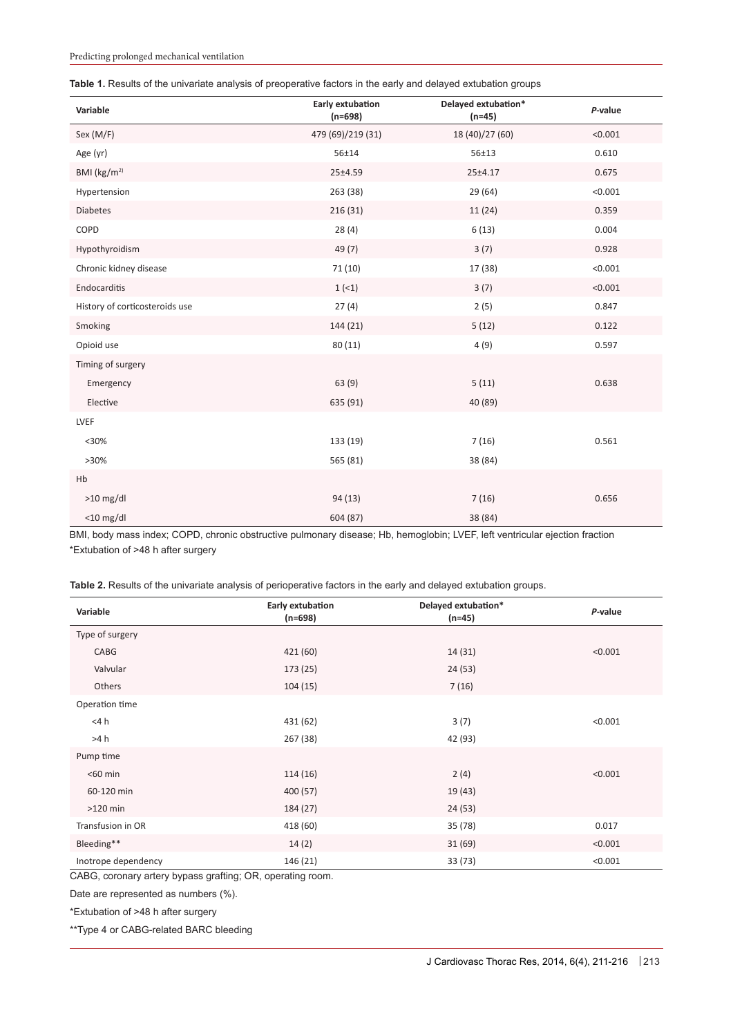|  |  |  |  |  |  |  | Table 1. Results of the univariate analysis of preoperative factors in the early and delayed extubation groups |  |
|--|--|--|--|--|--|--|----------------------------------------------------------------------------------------------------------------|--|
|--|--|--|--|--|--|--|----------------------------------------------------------------------------------------------------------------|--|

| Variable                       | Early extubation<br>$(n=698)$ | Delayed extubation*<br>$(n=45)$ | P-value |
|--------------------------------|-------------------------------|---------------------------------|---------|
| Sex (M/F)                      | 479 (69)/219 (31)             | 18 (40)/27 (60)                 | < 0.001 |
| Age (yr)                       | 56±14                         | $56 + 13$                       | 0.610   |
| BMI (kg/m <sup>2)</sup>        | 25±4.59                       | 25±4.17                         | 0.675   |
| Hypertension                   | 263 (38)                      | 29 (64)                         | < 0.001 |
| <b>Diabetes</b>                | 216 (31)                      | 11 (24)                         | 0.359   |
| COPD                           | 28(4)                         | 6(13)                           | 0.004   |
| Hypothyroidism                 | 49 (7)                        | 3(7)                            | 0.928   |
| Chronic kidney disease         | 71 (10)                       | 17 (38)                         | < 0.001 |
| Endocarditis                   | 1(1)                          | 3(7)                            | < 0.001 |
| History of corticosteroids use | 27(4)                         | 2(5)                            | 0.847   |
| Smoking                        | 144 (21)                      | 5(12)                           | 0.122   |
| Opioid use                     | 80 (11)                       | 4(9)                            | 0.597   |
| Timing of surgery              |                               |                                 |         |
| Emergency                      | 63 (9)                        | 5(11)                           | 0.638   |
| Elective                       | 635 (91)                      | 40 (89)                         |         |
| LVEF                           |                               |                                 |         |
| $30%$                          | 133 (19)                      | 7(16)                           | 0.561   |
| $>30\%$                        | 565 (81)                      | 38 (84)                         |         |
| Hb                             |                               |                                 |         |
| $>10$ mg/dl                    | 94 (13)                       | 7(16)                           | 0.656   |
| $<$ 10 mg/dl                   | 604 (87)                      | 38 (84)                         |         |

BMI, body mass index; COPD, chronic obstructive pulmonary disease; Hb, hemoglobin; LVEF, left ventricular ejection fraction \*Extubation of >48 h after surgery

**Table 2.** Results of the univariate analysis of perioperative factors in the early and delayed extubation groups.

| Variable                                            | Early extubation<br>(n=698) | Delayed extubation*<br>$(n=45)$ | P-value |
|-----------------------------------------------------|-----------------------------|---------------------------------|---------|
| Type of surgery                                     |                             |                                 |         |
| CABG                                                | 421 (60)                    | 14(31)                          | < 0.001 |
| Valvular                                            | 173 (25)                    | 24(53)                          |         |
| Others                                              | 104(15)                     | 7(16)                           |         |
| Operation time                                      |                             |                                 |         |
| $<$ 4 $h$                                           | 431 (62)                    | 3(7)                            | < 0.001 |
| >4 h                                                | 267 (38)                    | 42 (93)                         |         |
| Pump time                                           |                             |                                 |         |
| $<$ 60 min                                          | 114 (16)                    | 2(4)                            | < 0.001 |
| 60-120 min                                          | 400 (57)                    | 19 (43)                         |         |
| $>120$ min                                          | 184 (27)                    | 24(53)                          |         |
| Transfusion in OR                                   | 418 (60)                    | 35 (78)                         | 0.017   |
| Bleeding**                                          | 14(2)                       | 31(69)                          | < 0.001 |
| Inotrope dependency<br>$\sim$ $\sim$<br>$\sim$ $ -$ | 146 (21)<br>$ -$            | 33 (73)                         | < 0.001 |

CABG, coronary artery bypass grafting; OR, operating room.

Date are represented as numbers (%).

\*Extubation of >48 h after surgery

\*\*Type 4 or CABG-related BARC bleeding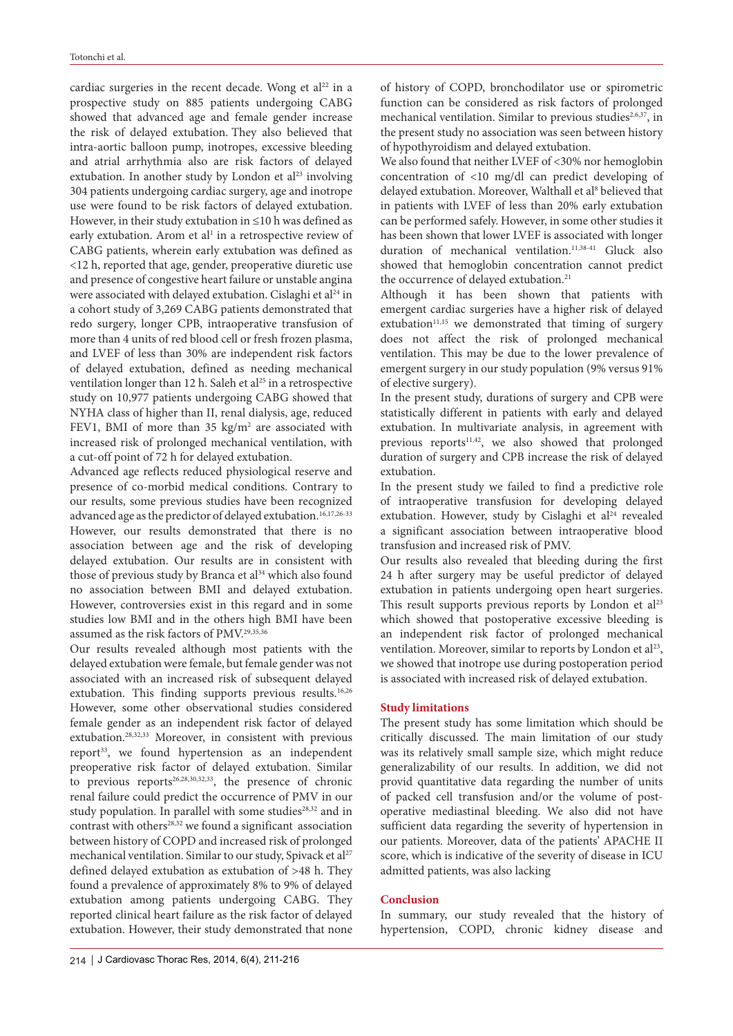cardiac surgeries in the recent decade. Wong et al<sup>22</sup> in a prospective study on 885 patients undergoing CABG showed that advanced age and female gender increase the risk of delayed extubation. They also believed that intra-aortic balloon pump, inotropes, excessive bleeding and atrial arrhythmia also are risk factors of delayed extubation. In another study by London et al<sup>23</sup> involving 304 patients undergoing cardiac surgery, age and inotrope use were found to be risk factors of delayed extubation. However, in their study extubation in ≤10 h was defined as early extubation. Arom et al<sup>1</sup> in a retrospective review of CABG patients, wherein early extubation was defined as <12 h, reported that age, gender, preoperative diuretic use and presence of congestive heart failure or unstable angina were associated with delayed extubation. Cislaghi et al<sup>24</sup> in a cohort study of 3,269 CABG patients demonstrated that redo surgery, longer CPB, intraoperative transfusion of more than 4 units of red blood cell or fresh frozen plasma, and LVEF of less than 30% are independent risk factors of delayed extubation, defined as needing mechanical ventilation longer than 12 h. Saleh et al<sup>25</sup> in a retrospective study on 10,977 patients undergoing CABG showed that NYHA class of higher than II, renal dialysis, age, reduced FEV1, BMI of more than 35  $\text{kg/m}^2$  are associated with increased risk of prolonged mechanical ventilation, with a cut-off point of 72 h for delayed extubation.

Advanced age reflects reduced physiological reserve and presence of co-morbid medical conditions. Contrary to our results, some previous studies have been recognized advanced age as the predictor of delayed extubation.<sup>16,17,26-33</sup> However, our results demonstrated that there is no association between age and the risk of developing delayed extubation. Our results are in consistent with those of previous study by Branca et al<sup>34</sup> which also found no association between BMI and delayed extubation. However, controversies exist in this regard and in some studies low BMI and in the others high BMI have been assumed as the risk factors of PMV.29,35,36

Our results revealed although most patients with the delayed extubation were female, but female gender was not associated with an increased risk of subsequent delayed extubation. This finding supports previous results.<sup>16,26</sup> However, some other observational studies considered female gender as an independent risk factor of delayed extubation.28,32,33 Moreover, in consistent with previous report<sup>33</sup>, we found hypertension as an independent preoperative risk factor of delayed extubation. Similar to previous reports<sup>26,28,30,32,33</sup>, the presence of chronic renal failure could predict the occurrence of PMV in our study population. In parallel with some studies<sup>28,32</sup> and in contrast with others<sup>28,32</sup> we found a significant association between history of COPD and increased risk of prolonged mechanical ventilation. Similar to our study, Spivack et al<sup>27</sup> defined delayed extubation as extubation of >48 h. They found a prevalence of approximately 8% to 9% of delayed extubation among patients undergoing CABG. They reported clinical heart failure as the risk factor of delayed extubation. However, their study demonstrated that none

24 h after surgery may be useful predictor of delayed extubation in patients undergoing open heart surgeries. This result supports previous reports by London et al<sup>23</sup> which showed that postoperative excessive bleeding is an independent risk factor of prolonged mechanical ventilation. Moreover, similar to reports by London et al<sup>23</sup>, we showed that inotrope use during postoperation period is associated with increased risk of delayed extubation. **Study limitations**

of history of COPD, bronchodilator use or spirometric function can be considered as risk factors of prolonged mechanical ventilation. Similar to previous studies<sup>2,6,37</sup>, in the present study no association was seen between history

We also found that neither LVEF of <30% nor hemoglobin concentration of <10 mg/dl can predict developing of delayed extubation. Moreover, Walthall et al<sup>8</sup> believed that in patients with LVEF of less than 20% early extubation can be performed safely. However, in some other studies it has been shown that lower LVEF is associated with longer duration of mechanical ventilation.<sup>11,38-41</sup> Gluck also showed that hemoglobin concentration cannot predict

Although it has been shown that patients with emergent cardiac surgeries have a higher risk of delayed extubation<sup>11,15</sup> we demonstrated that timing of surgery does not affect the risk of prolonged mechanical ventilation. This may be due to the lower prevalence of emergent surgery in our study population (9% versus 91%

In the present study, durations of surgery and CPB were statistically different in patients with early and delayed extubation. In multivariate analysis, in agreement with previous reports<sup>11,42</sup>, we also showed that prolonged duration of surgery and CPB increase the risk of delayed

In the present study we failed to find a predictive role of intraoperative transfusion for developing delayed extubation. However, study by Cislaghi et al<sup>24</sup> revealed a significant association between intraoperative blood

Our results also revealed that bleeding during the first

of hypothyroidism and delayed extubation.

the occurrence of delayed extubation.<sup>21</sup>

transfusion and increased risk of PMV.

of elective surgery).

extubation.

The present study has some limitation which should be critically discussed. The main limitation of our study was its relatively small sample size, which might reduce generalizability of our results. In addition, we did not provid quantitative data regarding the number of units of packed cell transfusion and/or the volume of postoperative mediastinal bleeding. We also did not have sufficient data regarding the severity of hypertension in our patients. Moreover, data of the patients' APACHE II score, which is indicative of the severity of disease in ICU admitted patients, was also lacking

#### **Conclusion**

In summary, our study revealed that the history of hypertension, COPD, chronic kidney disease and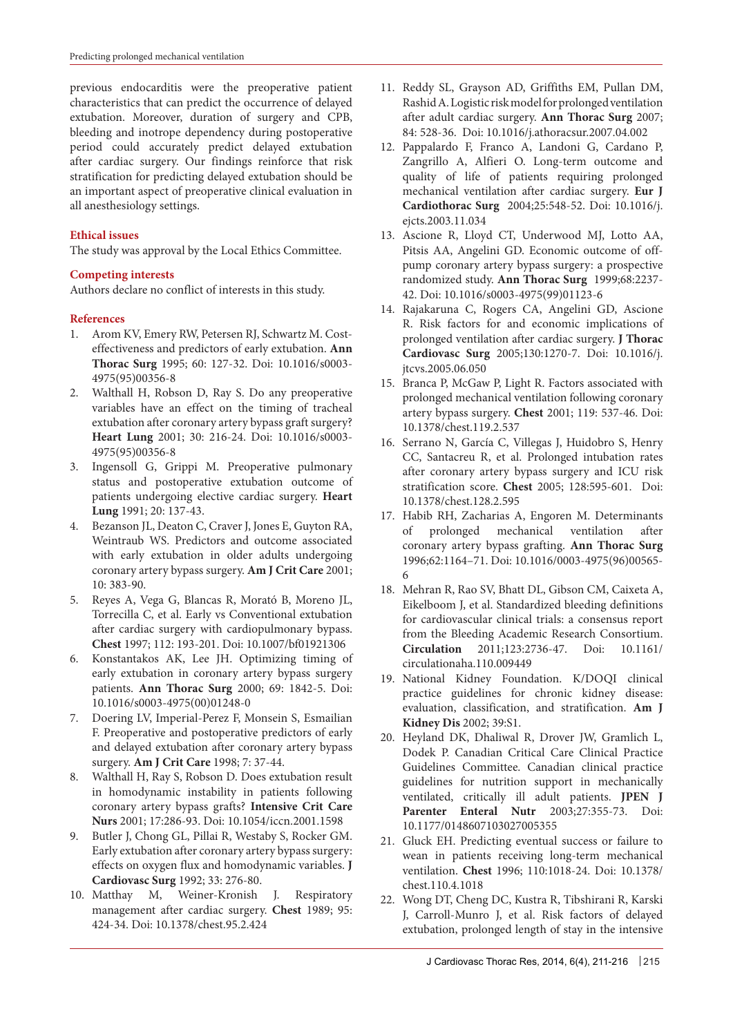previous endocarditis were the preoperative patient characteristics that can predict the occurrence of delayed extubation. Moreover, duration of surgery and CPB, bleeding and inotrope dependency during postoperative period could accurately predict delayed extubation after cardiac surgery. Our findings reinforce that risk stratification for predicting delayed extubation should be an important aspect of preoperative clinical evaluation in all anesthesiology settings.

### **Ethical issues**

The study was approval by the Local Ethics Committee.

### **Competing interests**

Authors declare no conflict of interests in this study.

#### **References**

- 1. Arom KV, Emery RW, Petersen RJ, Schwartz M. Costeffectiveness and predictors of early extubation. **Ann Thorac Surg** 1995; 60: 127-32. Doi: 10.1016/s0003- 4975(95)00356-8
- 2. Walthall H, Robson D, Ray S. Do any preoperative variables have an effect on the timing of tracheal extubation after coronary artery bypass graft surgery? **Heart Lung** 2001; 30: 216-24. Doi: 10.1016/s0003- 4975(95)00356-8
- 3. Ingensoll G, Grippi M. Preoperative pulmonary status and postoperative extubation outcome of patients undergoing elective cardiac surgery. **Heart Lung** 1991; 20: 137-43.
- 4. Bezanson JL, Deaton C, Craver J, Jones E, Guyton RA, Weintraub WS. Predictors and outcome associated with early extubation in older adults undergoing coronary artery bypass surgery. **Am J Crit Care** 2001; 10: 383-90.
- 5. Reyes A, Vega G, Blancas R, Morató B, Moreno JL, Torrecilla C, et al. Early vs Conventional extubation after cardiac surgery with cardiopulmonary bypass. **Chest** 1997; 112: 193-201. Doi: 10.1007/bf01921306
- 6. Konstantakos AK, Lee JH. Optimizing timing of early extubation in coronary artery bypass surgery patients. **Ann Thorac Surg** 2000; 69: 1842-5. Doi: 10.1016/s0003-4975(00)01248-0
- 7. Doering LV, Imperial-Perez F, Monsein S, Esmailian F. Preoperative and postoperative predictors of early and delayed extubation after coronary artery bypass surgery. **Am J Crit Care** 1998; 7: 37-44.
- 8. Walthall H, Ray S, Robson D. Does extubation result in homodynamic instability in patients following coronary artery bypass grafts? **Intensive Crit Care Nurs** 2001; 17:286-93. Doi: 10.1054/iccn.2001.1598
- 9. Butler J, Chong GL, Pillai R, Westaby S, Rocker GM. Early extubation after coronary artery bypass surgery: effects on oxygen flux and homodynamic variables. **J Cardiovasc Surg** 1992; 33: 276-80.
- 10. Matthay M, Weiner-Kronish J. Respiratory management after cardiac surgery. **Chest** 1989; 95: 424-34. Doi: 10.1378/chest.95.2.424
- 11. Reddy SL, Grayson AD, Griffiths EM, Pullan DM, Rashid A. Logistic risk model for prolonged ventilation after adult cardiac surgery. **Ann Thorac Surg** 2007; 84: 528-36. Doi: 10.1016/j.athoracsur.2007.04.002
- 12. Pappalardo F, Franco A, Landoni G, Cardano P, Zangrillo A, Alfieri O. Long-term outcome and quality of life of patients requiring prolonged mechanical ventilation after cardiac surgery. **Eur J Cardiothorac Surg** 2004;25:548-52. Doi: 10.1016/j. ejcts.2003.11.034
- 13. Ascione R, Lloyd CT, Underwood MJ, Lotto AA, Pitsis AA, Angelini GD. Economic outcome of offpump coronary artery bypass surgery: a prospective randomized study. **Ann Thorac Surg** 1999;68:2237- 42. Doi: 10.1016/s0003-4975(99)01123-6
- 14. Rajakaruna C, Rogers CA, Angelini GD, Ascione R. Risk factors for and economic implications of prolonged ventilation after cardiac surgery. **J Thorac Cardiovasc Surg** 2005;130:1270-7. Doi: 10.1016/j. jtcvs.2005.06.050
- 15. Branca P, McGaw P, Light R. Factors associated with prolonged mechanical ventilation following coronary artery bypass surgery. **Chest** 2001; 119: 537-46. Doi: 10.1378/chest.119.2.537
- 16. Serrano N, García C, Villegas J, Huidobro S, Henry CC, Santacreu R, et al. Prolonged intubation rates after coronary artery bypass surgery and ICU risk stratification score. **Chest** 2005; 128:595-601. Doi: 10.1378/chest.128.2.595
- 17. Habib RH, Zacharias A, Engoren M. Determinants of prolonged mechanical ventilation after coronary artery bypass grafting. **Ann Thorac Surg**  1996;62:1164–71. Doi: 10.1016/0003-4975(96)00565- 6
- 18. Mehran R, Rao SV, Bhatt DL, Gibson CM, Caixeta A, Eikelboom J, et al. Standardized bleeding definitions for cardiovascular clinical trials: a consensus report from the Bleeding Academic Research Consortium. **Circulation** 2011;123:2736-47. Doi: 10.1161/ circulationaha.110.009449
- 19. National Kidney Foundation. K/DOQI clinical practice guidelines for chronic kidney disease: evaluation, classification, and stratification. **Am J Kidney Dis** 2002; 39:S1.
- 20. Heyland DK, Dhaliwal R, Drover JW, Gramlich L, Dodek P. Canadian Critical Care Clinical Practice Guidelines Committee. Canadian clinical practice guidelines for nutrition support in mechanically ventilated, critically ill adult patients. **JPEN J Parenter Enteral Nutr** 2003;27:355-73. Doi: 10.1177/0148607103027005355
- 21. Gluck EH. Predicting eventual success or failure to wean in patients receiving long-term mechanical ventilation. **Chest** 1996; 110:1018-24. Doi: 10.1378/ chest.110.4.1018
- 22. Wong DT, Cheng DC, Kustra R, Tibshirani R, Karski J, Carroll-Munro J, et al. Risk factors of delayed extubation, prolonged length of stay in the intensive